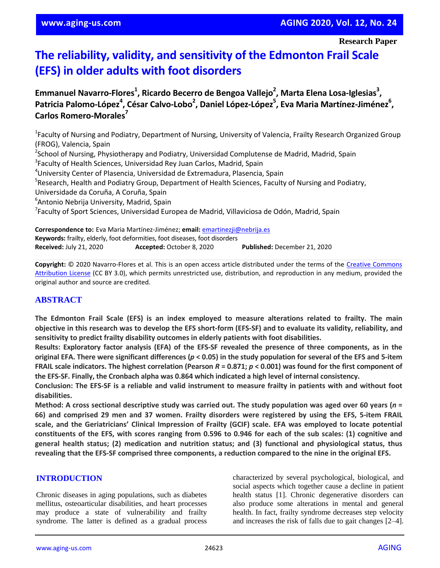**Research Paper**

# **The reliability, validity, and sensitivity of the Edmonton Frail Scale (EFS) in older adults with foot disorders**

Emmanuel Navarro-Flores<sup>1</sup>, Ricardo Becerro de Bengoa Vallejo<sup>2</sup>, Marta Elena Losa-Iglesias<sup>3</sup>, Patricia Palomo-López<sup>4</sup>, César Calvo-Lobo<sup>2</sup>, Daniel López-López<sup>5</sup>, Eva Maria Martínez-Jiménez<sup>6</sup>, **Carlos Romero-Morales<sup>7</sup>**

<sup>1</sup>Faculty of Nursing and Podiatry, Department of Nursing, University of Valencia, Frailty Research Organized Group (FROG), Valencia, Spain <sup>2</sup>School of Nursing, Physiotherapy and Podiatry, Universidad Complutense de Madrid, Madrid, Spain <sup>3</sup>Faculty of Health Sciences, Universidad Rey Juan Carlos, Madrid, Spain <sup>4</sup>University Center of Plasencia, Universidad de Extremadura, Plasencia, Spain <sup>5</sup>Research, Health and Podiatry Group, Department of Health Sciences, Faculty of Nursing and Podiatry, Universidade da Coruña, A Coruña, Spain 6 Antonio Nebrija University, Madrid, Spain <sup>7</sup>Faculty of Sport Sciences, Universidad Europea de Madrid, Villaviciosa de Odón, Madrid, Spain

**Correspondence to:** Eva Maria Martínez-Jiménez; **email:** emartinezji@nebrija.es **Keywords:** frailty, elderly, foot deformities, foot diseases, foot disorders **Received:** July 21, 2020 **Accepted:** October 8, 2020 **Published:** December 21, 2020

**Copyright:** © 2020 Navarro-Flores et al. This is an open access article distributed under the terms of the Creative Commons Attribution License (CC BY 3.0), which permits unrestricted use, distribution, and reproduction in any medium, provided the original author and source are credited.

## **ABSTRACT**

**The Edmonton Frail Scale (EFS) is an index employed to measure alterations related to frailty. The main** objective in this research was to develop the EFS short-form (EFS-SF) and to evaluate its validity, reliability, and **sensitivity to predict frailty disability outcomes in elderly patients with foot disabilities.**

Results: Exploratory factor analysis (EFA) of the EFS-SF revealed the presence of three components, as in the original EFA. There were significant differences ( $p < 0.05$ ) in the study population for several of the EFS and 5-item FRAIL scale indicators. The highest correlation (Pearson  $R = 0.871$ ;  $p < 0.001$ ) was found for the first component of **the EFS-SF. Finally, the Cronbach alpha was 0.864 which indicated a high level of internal consistency.**

Conclusion: The EFS-SF is a reliable and valid instrument to measure frailty in patients with and without foot **disabilities.**

Method: A cross sectional descriptive study was carried out. The study population was aged over 60 years ( $n =$ 66) and comprised 29 men and 37 women. Frailty disorders were registered by using the EFS, 5-item FRAIL **scale, and the Geriatricians' Clinical Impression of Frailty (GCIF) scale. EFA was employed to locate potential** constituents of the EFS, with scores ranging from 0.596 to 0.946 for each of the sub scales: (1) cognitive and **general health status; (2) medication and nutrition status; and (3) functional and physiological status, thus** revealing that the EFS-SF comprised three components, a reduction compared to the nine in the original EFS.

### **INTRODUCTION**

Chronic diseases in aging populations, such as diabetes mellitus, osteoarticular disabilities, and heart processes may produce a state of vulnerability and frailty syndrome. The latter is defined as a gradual process characterized by several psychological, biological, and social aspects which together cause a decline in patient health status [1]. Chronic degenerative disorders can also produce some alterations in mental and general health. In fact, frailty syndrome decreases step velocity and increases the risk of falls due to gait changes [2–4].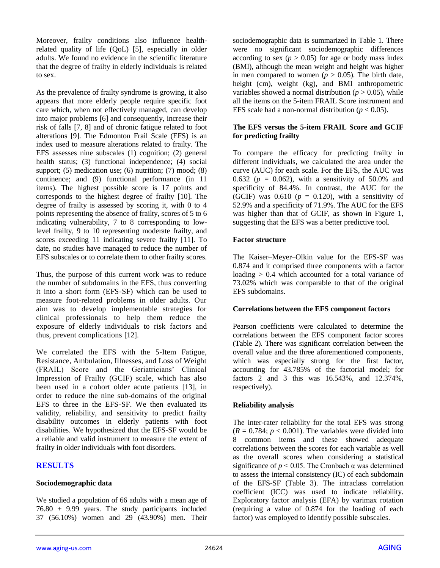Moreover, frailty conditions also influence healthrelated quality of life (QoL) [5], especially in older adults. We found no evidence in the scientific literature that the degree of frailty in elderly individuals is related to sex.

As the prevalence of frailty syndrome is growing, it also appears that more elderly people require specific foot care which, when not effectively managed, can develop into major problems [6] and consequently, increase their risk of falls [7, 8] and of chronic fatigue related to foot alterations [9]. The Edmonton Frail Scale (EFS) is an index used to measure alterations related to frailty. The EFS assesses nine subscales (1) cognition; (2) general health status; (3) functional independence; (4) social support; (5) medication use; (6) nutrition; (7) mood; (8) continence; and (9) functional performance (in 11 items). The highest possible score is 17 points and corresponds to the highest degree of frailty [10]. The degree of frailty is assessed by scoring it, with 0 to 4 points representing the absence of frailty, scores of 5 to 6 indicating vulnerability, 7 to 8 corresponding to lowlevel frailty, 9 to 10 representing moderate frailty, and scores exceeding 11 indicating severe frailty [11]. To date, no studies have managed to reduce the number of EFS subscales or to correlate them to other frailty scores.

Thus, the purpose of this current work was to reduce the number of subdomains in the EFS, thus converting it into a short form (EFS-SF) which can be used to measure foot-related problems in older adults. Our aim was to develop implementable strategies for clinical professionals to help them reduce the exposure of elderly individuals to risk factors and thus, prevent complications [12].

We correlated the EFS with the 5-Item Fatigue, Resistance, Ambulation, Illnesses, and Loss of Weight (FRAIL) Score and the Geriatricians' Clinical Impression of Frailty (GCIF) scale, which has also been used in a cohort older acute patients [13], in order to reduce the nine sub-domains of the original EFS to three in the EFS-SF. We then evaluated its validity, reliability, and sensitivity to predict frailty disability outcomes in elderly patients with foot disabilities. We hypothesized that the EFS-SF would be a reliable and valid instrument to measure the extent of frailty in older individuals with foot disorders.

## **RESULTS**

#### **Sociodemographic data**

We studied a population of 66 adults with a mean age of  $76.80 \pm 9.99$  years. The study participants included 37 (56.10%) women and 29 (43.90%) men. Their

sociodemographic data is summarized in Table 1. There were no significant sociodemographic differences according to sex  $(p > 0.05)$  for age or body mass index (BMI), although the mean weight and height was higher in men compared to women ( $p > 0.05$ ). The birth date, height (cm), weight (kg), and BMI anthropometric variables showed a normal distribution ( $p > 0.05$ ), while all the items on the 5-item FRAIL Score instrument and EFS scale had a non-normal distribution ( $p < 0.05$ ).

#### **The EFS versus the 5-item FRAIL Score and GCIF for predicting frailty**

To compare the efficacy for predicting frailty in different individuals, we calculated the area under the curve (AUC) for each scale. For the EFS, the AUC was 0.632 ( $p = 0.062$ ), with a sensitivity of 50.0% and specificity of 84.4%. In contrast, the AUC for the (GCIF) was 0.610  $(p = 0.120)$ , with a sensitivity of 52.9% and a specificity of 71.9%. The AUC for the EFS was higher than that of GCIF, as shown in Figure 1, suggesting that the EFS was a better predictive tool.

#### **Factor structure**

The Kaiser–Meyer–Olkin value for the EFS-SF was 0.874 and it comprised three components with a factor loading  $> 0.4$  which accounted for a total variance of 73.02% which was comparable to that of the original EFS subdomains.

#### **Correlations between the EFS component factors**

Pearson coefficients were calculated to determine the correlations between the EFS component factor scores (Table 2). There was significant correlation between the overall value and the three aforementioned components, which was especially strong for the first factor, accounting for 43.785% of the factorial model; for factors 2 and 3 this was 16.543%, and 12.374%, respectively).

## **Reliability analysis**

The inter-rater reliability for the total EFS was strong  $(R = 0.784; p < 0.001)$ . The variables were divided into 8 common items and these showed adequate correlations between the scores for each variable as well as the overall scores when considering a statistical significance of  $p < 0.05$ . The Cronbach  $\alpha$  was determined to assess the internal consistency (IC) of each subdomain of the EFS-SF (Table 3). The intraclass correlation coefficient (ICC) was used to indicate reliability. Exploratory factor analysis (EFA) by varimax rotation (requiring a value of 0.874 for the loading of each factor) was employed to identify possible subscales.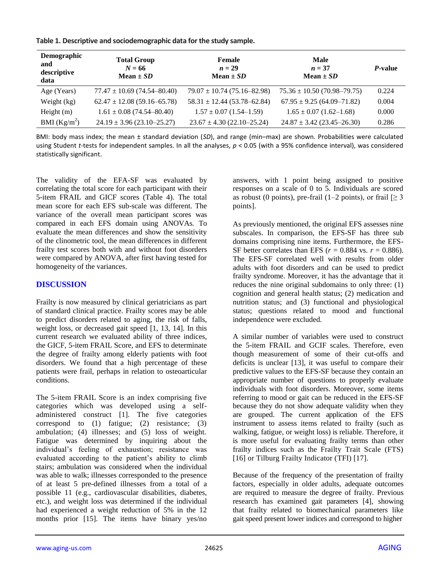**Table 1. Descriptive and sociodemographic data for the study sample.**

| Demographic<br>and<br>descriptive<br>data | <b>Total Group</b><br>$N = 66$<br>Mean $\pm SD$ | Female<br>$n=29$<br>Mean $\pm SD$ | Male<br>$n=37$<br>Mean $\pm SD$ | <i>P</i> -value |
|-------------------------------------------|-------------------------------------------------|-----------------------------------|---------------------------------|-----------------|
| Age (Years)                               | $77.47 \pm 10.69$ (74.54-80.40)                 | $79.07 \pm 10.74$ (75.16-82.98)   | $75.36 \pm 10.50$ (70.98–79.75) | 0.224           |
| Weight (kg)                               | $62.47 \pm 12.08$ (59.16-65.78)                 | $58.31 \pm 12.44$ (53.78-62.84)   | $67.95 \pm 9.25(64.09 - 71.82)$ | 0.004           |
| Height $(m)$                              | $1.61 \pm 0.08$ (74.54-80.40)                   | $1.57 \pm 0.07$ (1.54–1.59)       | $1.65 \pm 0.07$ (1.62–1.68)     | 0.000           |
| BMI $(Kg/m^2)$                            | $24.19 \pm 3.96 (23.10 - 25.27)$                | $23.67 \pm 4.30$ (22.10-25.24)    | $24.87 \pm 3.42$ (23.45-26.30)  | 0.286           |

BMI: body mass index; the mean ± standard deviation (*SD*), and range (min–max) are shown. Probabilities were calculated using Student *t*-tests for independent samples. In all the analyses, *p* < 0.05 (with a 95% confidence interval), was considered statistically significant.

The validity of the EFA-SF was evaluated by correlating the total score for each participant with their 5-item FRAIL and GICF scores (Table 4). The total mean score for each EFS sub-scale was different. The variance of the overall mean participant scores was compared in each EFS domain using ANOVAs. To evaluate the mean differences and show the sensitivity of the clinometric tool, the mean differences in different frailty test scores both with and without foot disorders were compared by ANOVA, after first having tested for homogeneity of the variances.

## **DISCUSSION**

Frailty is now measured by clinical geriatricians as part of standard clinical practice. Frailty scores may be able to predict disorders related to aging, the risk of falls, weight loss, or decreased gait speed [1, 13, 14]. In this current research we evaluated ability of three indices, the GICF, 5-item FRAIL Score, and EFS to determinate the degree of frailty among elderly patients with foot disorders. We found that a high percentage of these patients were frail, perhaps in relation to osteoarticular conditions.

The 5-item FRAIL Score is an index comprising five categories which was developed using a selfadministered construct [1]. The five categories correspond to (1) fatigue; (2) resistance; (3) ambulation; (4) illnesses; and (5) loss of weight. Fatigue was determined by inquiring about the individual's feeling of exhaustion; resistance was evaluated according to the patient's ability to climb stairs; ambulation was considered when the individual was able to walk; illnesses corresponded to the presence of at least 5 pre-defined illnesses from a total of a possible 11 (e.g., cardiovascular disabilities, diabetes, etc.), and weight loss was determined if the individual had experienced a weight reduction of 5% in the 12 months prior [15]. The items have binary yes/no

answers, with 1 point being assigned to positive responses on a scale of 0 to 5. Individuals are scored as robust (0 points), pre-frail (1–2 points), or frail  $\geq 3$ points].

As previously mentioned, the original EFS assesses nine subscales. In comparison, the EFS-SF has three sub domains comprising nine items. Furthermore, the EFS-SF better correlates than EFS ( $r = 0.884$  vs.  $r = 0.886$ ). The EFS-SF correlated well with results from older adults with foot disorders and can be used to predict frailty syndrome. Moreover, it has the advantage that it reduces the nine original subdomains to only three: (1) cognition and general health status; (2) medication and nutrition status; and (3) functional and physiological status; questions related to mood and functional independence were excluded.

A similar number of variables were used to construct the 5-item FRAIL and GCIF scales. Therefore, even though measurement of some of their cut-offs and deficits is unclear [13], it was useful to compare their predictive values to the EFS-SF because they contain an appropriate number of questions to properly evaluate individuals with foot disorders. Moreover, some items referring to mood or gait can be reduced in the EFS-SF because they do not show adequate validity when they are grouped. The current application of the EFS instrument to assess items related to frailty (such as walking, fatigue, or weight loss) is reliable. Therefore, it is more useful for evaluating frailty terms than other frailty indices such as the Frailty Trait Scale (FTS) [16] or Tilburg Frailty Indicator (TFI) [17].

Because of the frequency of the presentation of frailty factors, especially in older adults, adequate outcomes are required to measure the degree of frailty. Previous research has examined gait parameters [4], showing that frailty related to biomechanical parameters like gait speed present lower indices and correspond to higher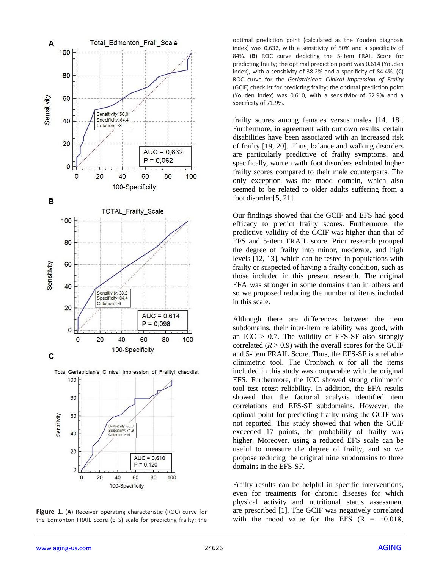

**Figure 1.** (**A**) Receiver operating characteristic (ROC) curve for the Edmonton FRAIL Score (EFS) scale for predicting frailty; the

optimal prediction point (calculated as the Youden diagnosis index) was 0.632, with a sensitivity of 50% and a specificity of 84%. (**B**) ROC curve depicting the 5-item FRAIL Score for predicting frailty; the optimal prediction point was 0.614 (Youden index), with a sensitivity of 38.2% and a specificity of 84.4%. (**C**) ROC curve for the *Geriatricians' Clinical Impression of Frailty* (GCIF) checklist for predicting frailty; the optimal prediction point (Youden index) was 0.610, with a sensitivity of 52.9% and a specificity of 71.9%.

frailty scores among females versus males [14, 18]. Furthermore, in agreement with our own results, certain disabilities have been associated with an increased risk of frailty [19, 20]. Thus, balance and walking disorders are particularly predictive of frailty symptoms, and specifically, women with foot disorders exhibited higher frailty scores compared to their male counterparts. The only exception was the mood domain, which also seemed to be related to older adults suffering from a foot disorder [5, 21].

Our findings showed that the GCIF and EFS had good efficacy to predict frailty scores. Furthermore, the predictive validity of the GCIF was higher than that of EFS and 5-item FRAIL score. Prior research grouped the degree of frailty into minor, moderate, and high levels [12, 13], which can be tested in populations with frailty or suspected of having a frailty condition, such as those included in this present research. The original EFA was stronger in some domains than in others and so we proposed reducing the number of items included in this scale.

Although there are differences between the item subdomains, their inter-item reliability was good, with an ICC  $> 0.7$ . The validity of EFS-SF also strongly correlated  $(R > 0.9)$  with the overall scores for the GCIF and 5-item FRAIL Score. Thus, the EFS-SF is a reliable clinimetric tool. The Cronbach  $\alpha$  for all the items included in this study was comparable with the original EFS. Furthermore, the ICC showed strong clinimetric tool test–retest reliability. In addition, the EFA results showed that the factorial analysis identified item correlations and EFS-SF subdomains. However, the optimal point for predicting frailty using the GCIF was not reported. This study showed that when the GCIF exceeded 17 points, the probability of frailty was higher. Moreover, using a reduced EFS scale can be useful to measure the degree of frailty, and so we propose reducing the original nine subdomains to three domains in the EFS-SF.

Frailty results can be helpful in specific interventions, even for treatments for chronic diseases for which physical activity and nutritional status assessment are prescribed [1]. The GCIF was negatively correlated with the mood value for the EFS  $(R = -0.018,$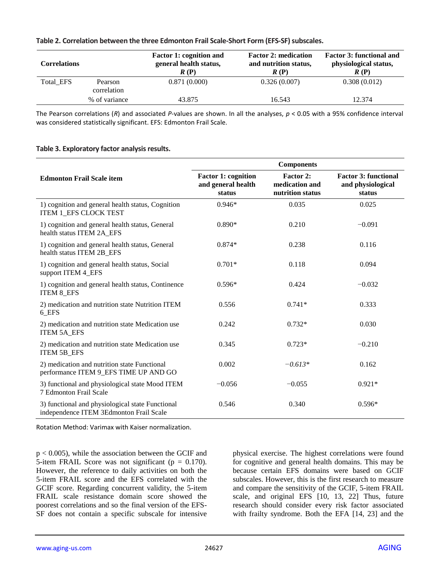#### **Table 2. Correlation between the three Edmonton Frail Scale-Short Form (EFS-SF) subscales.**

| <b>Correlations</b> |                        | <b>Factor 1: cognition and</b><br>general health status,<br>R(P) | <b>Factor 2: medication</b><br>and nutrition status,<br>R(P) | <b>Factor 3: functional and</b><br>physiological status,<br>R(P) |
|---------------------|------------------------|------------------------------------------------------------------|--------------------------------------------------------------|------------------------------------------------------------------|
| Total EFS           | Pearson<br>correlation | 0.871(0.000)                                                     | 0.326(0.007)                                                 | 0.308(0.012)                                                     |
|                     | % of variance          | 43.875                                                           | 16.543                                                       | 12.374                                                           |

The Pearson correlations (*R*) and associated *P*-values are shown. In all the analyses, *p* < 0.05 with a 95% confidence interval was considered statistically significant. EFS: Edmonton Frail Scale.

#### **Table 3. Exploratory factor analysis results.**

|                                                                                             | <b>Components</b>                                          |                                                 |                                                            |  |
|---------------------------------------------------------------------------------------------|------------------------------------------------------------|-------------------------------------------------|------------------------------------------------------------|--|
| <b>Edmonton Frail Scale item</b>                                                            | <b>Factor 1: cognition</b><br>and general health<br>status | Factor 2:<br>medication and<br>nutrition status | <b>Factor 3: functional</b><br>and physiological<br>status |  |
| 1) cognition and general health status, Cognition<br>ITEM 1_EFS CLOCK TEST                  | $0.946*$                                                   | 0.035                                           | 0.025                                                      |  |
| 1) cognition and general health status, General<br>health status ITEM 2A_EFS                | $0.890*$                                                   | 0.210                                           | $-0.091$                                                   |  |
| 1) cognition and general health status, General<br>health status ITEM 2B_EFS                | $0.874*$                                                   | 0.238                                           | 0.116                                                      |  |
| 1) cognition and general health status, Social<br>support ITEM 4 EFS                        | $0.701*$                                                   | 0.118                                           | 0.094                                                      |  |
| 1) cognition and general health status, Continence<br><b>ITEM 8 EFS</b>                     | $0.596*$                                                   | 0.424                                           | $-0.032$                                                   |  |
| 2) medication and nutrition state Nutrition ITEM<br>6_EFS                                   | 0.556                                                      | $0.741*$                                        | 0.333                                                      |  |
| 2) medication and nutrition state Medication use<br><b>ITEM 5A EFS</b>                      | 0.242                                                      | $0.732*$                                        | 0.030                                                      |  |
| 2) medication and nutrition state Medication use<br>ITEM 5B_EFS                             | 0.345                                                      | $0.723*$                                        | $-0.210$                                                   |  |
| 2) medication and nutrition state Functional<br>performance ITEM 9_EFS TIME UP AND GO       | 0.002                                                      | $-0.613*$                                       | 0.162                                                      |  |
| 3) functional and physiological state Mood ITEM<br>7 Edmonton Frail Scale                   | $-0.056$                                                   | $-0.055$                                        | $0.921*$                                                   |  |
| 3) functional and physiological state Functional<br>independence ITEM 3Edmonton Frail Scale | 0.546                                                      | 0.340                                           | $0.596*$                                                   |  |

Rotation Method: Varimax with Kaiser normalization.

p < 0.005), while the association between the GCIF and 5-item FRAIL Score was not significant ( $p = 0.170$ ). However, the reference to daily activities on both the 5-item FRAIL score and the EFS correlated with the GCIF score. Regarding concurrent validity, the 5-item FRAIL scale resistance domain score showed the poorest correlations and so the final version of the EFS-SF does not contain a specific subscale for intensive physical exercise. The highest correlations were found for cognitive and general health domains. This may be because certain EFS domains were based on GCIF subscales. However, this is the first research to measure and compare the sensitivity of the GCIF, 5-item FRAIL scale, and original EFS [10, 13, 22] Thus, future research should consider every risk factor associated with frailty syndrome. Both the EFA [14, 23] and the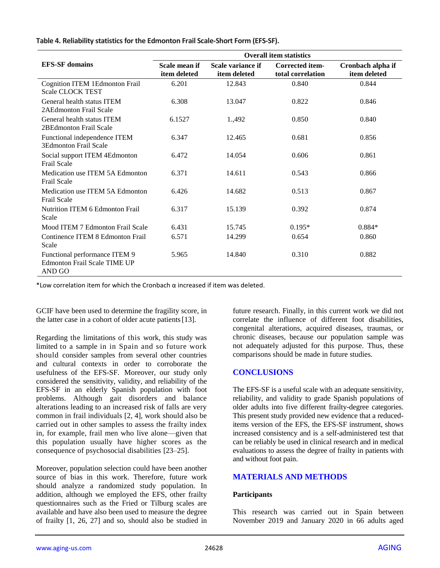|  | Table 4. Reliability statistics for the Edmonton Frail Scale-Short Form (EFS-SF). |
|--|-----------------------------------------------------------------------------------|
|--|-----------------------------------------------------------------------------------|

|                                                                                | <b>Overall item statistics</b> |                                   |                                             |                                   |
|--------------------------------------------------------------------------------|--------------------------------|-----------------------------------|---------------------------------------------|-----------------------------------|
| <b>EFS-SF</b> domains                                                          | Scale mean if<br>item deleted  | Scale variance if<br>item deleted | <b>Corrected item-</b><br>total correlation | Cronbach alpha if<br>item deleted |
| <b>Cognition ITEM 1Edmonton Frail</b><br><b>Scale CLOCK TEST</b>               | 6.201                          | 12.843                            | 0.840                                       | 0.844                             |
| General health status ITEM<br>2AEdmonton Frail Scale                           | 6.308                          | 13.047                            | 0.822                                       | 0.846                             |
| General health status ITEM<br>2BEdmonton Frail Scale                           | 6.1527                         | 1.,492                            | 0.850                                       | 0.840                             |
| Functional independence ITEM<br><b>3Edmonton Frail Scale</b>                   | 6.347                          | 12.465                            | 0.681                                       | 0.856                             |
| Social support ITEM 4Edmonton<br><b>Frail Scale</b>                            | 6.472                          | 14.054                            | 0.606                                       | 0.861                             |
| Medication use ITEM 5A Edmonton<br><b>Frail Scale</b>                          | 6.371                          | 14.611                            | 0.543                                       | 0.866                             |
| Medication use ITEM 5A Edmonton<br><b>Frail Scale</b>                          | 6.426                          | 14.682                            | 0.513                                       | 0.867                             |
| Nutrition ITEM 6 Edmonton Frail<br>Scale                                       | 6.317                          | 15.139                            | 0.392                                       | 0.874                             |
| Mood ITEM 7 Edmonton Frail Scale                                               | 6.431                          | 15.745                            | $0.195*$                                    | $0.884*$                          |
| Continence ITEM 8 Edmonton Frail<br>Scale                                      | 6.571                          | 14.299                            | 0.654                                       | 0.860                             |
| Functional performance ITEM 9<br><b>Edmonton Frail Scale TIME UP</b><br>AND GO | 5.965                          | 14.840                            | 0.310                                       | 0.882                             |

\*Low correlation item for which the Cronbach  $\alpha$  increased if item was deleted.

GCIF have been used to determine the fragility score, in the latter case in a cohort of older acute patients[13].

Regarding the limitations of this work, this study was limited to a sample in in Spain and so future work should consider samples from several other countries and cultural contexts in order to corroborate the usefulness of the EFS-SF. Moreover, our study only considered the sensitivity, validity, and reliability of the EFS-SF in an elderly Spanish population with foot problems. Although gait disorders and balance alterations leading to an increased risk of falls are very common in frail individuals [2, 4], work should also be carried out in other samples to assess the frailty index in, for example, frail men who live alone—given that this population usually have higher scores as the consequence of psychosocial disabilities [23–25].

Moreover, population selection could have been another source of bias in this work. Therefore, future work should analyze a randomized study population. In addition, although we employed the EFS, other frailty questionnaires such as the Fried or Tilburg scales are available and have also been used to measure the degree of frailty [1, 26, 27] and so, should also be studied in future research. Finally, in this current work we did not correlate the influence of different foot disabilities, congenital alterations, acquired diseases, traumas, or chronic diseases, because our population sample was not adequately adjusted for this purpose. Thus, these comparisons should be made in future studies.

## **CONCLUSIONS**

The EFS-SF is a useful scale with an adequate sensitivity, reliability, and validity to grade Spanish populations of older adults into five different frailty-degree categories. This present study provided new evidence that a reduceditems version of the EFS, the EFS-SF instrument, shows increased consistency and is a self-administered test that can be reliably be used in clinical research and in medical evaluations to assess the degree of frailty in patients with and without foot pain.

## **MATERIALS AND METHODS**

#### **Participants**

This research was carried out in Spain between November 2019 and January 2020 in 66 adults aged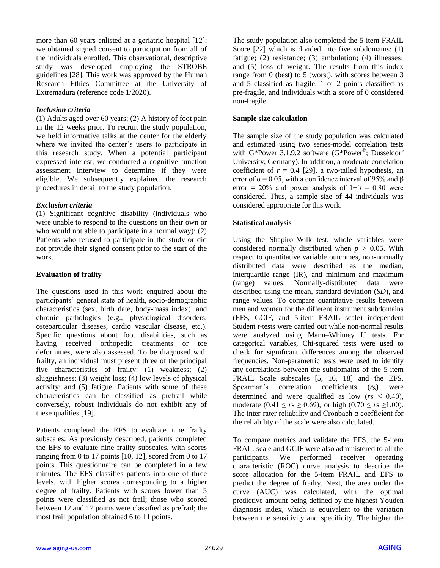more than 60 years enlisted at a geriatric hospital [12]; we obtained signed consent to participation from all of the individuals enrolled. This observational, descriptive study was developed employing the STROBE guidelines [28]. This work was approved by the Human Research Ethics Committee at the University of Extremadura (reference code 1/2020).

#### *Inclusion criteria*

(1) Adults aged over 60 years; (2) A history of foot pain in the 12 weeks prior. To recruit the study population, we held informative talks at the center for the elderly where we invited the center's users to participate in this research study. When a potential participant expressed interest, we conducted a cognitive function assessment interview to determine if they were eligible. We subsequently explained the research procedures in detail to the study population.

#### *Exclusion criteria*

(1) Significant cognitive disability (individuals who were unable to respond to the questions on their own or who would not able to participate in a normal way); (2) Patients who refused to participate in the study or did not provide their signed consent prior to the start of the work.

## **Evaluation of frailty**

The questions used in this work enquired about the participants' general state of health, socio-demographic characteristics (sex, birth date, body-mass index), and chronic pathologies (e.g., physiological disorders, osteoarticular diseases, cardio vascular disease, etc.). Specific questions about foot disabilities, such as having received orthopedic treatments or toe deformities, were also assessed. To be diagnosed with frailty, an individual must present three of the principal five characteristics of frailty: (1) weakness; (2) sluggishness; (3) weight loss; (4) low levels of physical activity; and (5) fatigue. Patients with some of these characteristics can be classified as prefrail while conversely, robust individuals do not exhibit any of these qualities [19].

Patients completed the EFS to evaluate nine frailty subscales: As previously described, patients completed the EFS to evaluate nine frailty subscales, with scores ranging from 0 to 17 points [10, 12], scored from 0 to 17 points. This questionnaire can be completed in a few minutes. The EFS classifies patients into one of three levels, with higher scores corresponding to a higher degree of frailty. Patients with scores lower than 5 points were classified as not frail; those who scored between 12 and 17 points were classified as prefrail; the most frail population obtained 6 to 11 points.

The study population also completed the 5-item FRAIL Score [22] which is divided into five subdomains: (1) fatigue; (2) resistance; (3) ambulation; (4) illnesses; and (5) loss of weight. The results from this index range from 0 (best) to 5 (worst), with scores between 3 and 5 classified as fragile, 1 or 2 points classified as pre-fragile, and individuals with a score of 0 considered non-fragile.

### **Sample size calculation**

The sample size of the study population was calculated and estimated using two series-model correlation tests with G\*Power 3.1.9.2 software (G\*Power<sup>©</sup>; Dusseldorf University; Germany). In addition, a moderate correlation coefficient of  $r = 0.4$  [29], a two-tailed hypothesis, an error of  $\alpha$  = 0.05, with a confidence interval of 95% and  $\beta$ error = 20% and power analysis of  $1-\beta = 0.80$  were considered. Thus, a sample size of 44 individuals was considered appropriate for this work.

## **Statistical analysis**

Using the Shapiro–Wilk test, whole variables were considered normally distributed when  $p > 0.05$ . With respect to quantitative variable outcomes, non-normally distributed data were described as the median, interquartile range (IR), and minimum and maximum (range) values. Normally-distributed data were described using the mean, standard deviation (*SD*), and range values. To compare quantitative results between men and women for the different instrument subdomains (EFS, GCIF, and 5-item FRAIL scale) independent Student *t*-tests were carried out while non-normal results were analyzed using Mann–Whitney U tests. For categorical variables, Chi-squared tests were used to check for significant differences among the observed frequencies. Non-parametric tests were used to identify any correlations between the subdomains of the 5-item FRAIL Scale subscales [5, 16, 18] and the EFS. Spearman's correlation coefficients (*r*s) were determined and were qualified as low  $(rs \leq 0.40)$ , moderate  $(0.41 \le r s \ge 0.69)$ , or high  $(0.70 \le r s \ge 1.00)$ . The inter-rater reliability and Cronbach  $\alpha$  coefficient for the reliability of the scale were also calculated.

To compare metrics and validate the EFS, the 5-item FRAIL scale and GCIF were also administered to all the participants. We performed receiver operating characteristic (ROC) curve analysis to describe the score allocation for the 5-item FRAIL and EFS to predict the degree of frailty. Next, the area under the curve (AUC) was calculated, with the optimal predictive amount being defined by the highest Youden diagnosis index, which is equivalent to the variation between the sensitivity and specificity. The higher the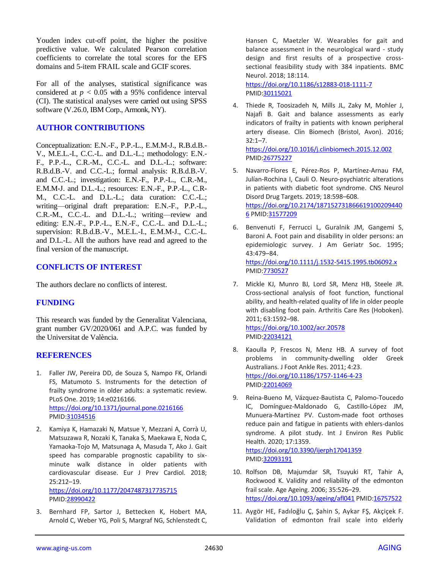Youden index cut-off point, the higher the positive predictive value. We calculated Pearson correlation coefficients to correlate the total scores for the EFS domains and 5-item FRAIL scale and GCIF scores.

For all of the analyses, statistical significance was considered at  $p < 0.05$  with a 95% confidence interval (CI). The statistical analyses were carried out using SPSS software (V.26.0, IBM Corp., Armonk, NY).

## **AUTHOR CONTRIBUTIONS**

Conceptualization: E.N.-F., P.P.-L., E.M.M-J., R.B.d.B.- V., M.E.L.-I., C.C.-L. and D.L.-L.; methodology: E.N.- F., P.P.-L., C.R.-M., C.C.-L. and D.L.-L.; software: R.B.d.B.-V. and C.C.-L.; formal analysis: R.B.d.B.-V. and C.C.-L.; investigation: E.N.-F., P.P.-L., C.R.-M., E.M.M-J. and D.L.-L.; resources: E.N.-F., P.P.-L., C.R-M., C.C.-L. and D.L.-L.; data curation: C.C.-L.; writing—original draft preparation: E.N.-F., P.P.-L., C.R.-M., C.C.-L. and D.L.-L.; writing—review and editing: E.N.-F., P.P.-L., E.N.-F., C.C.-L. and D.L.-L.; supervision: R.B.d.B.-V., M.E.L.-I., E.M.M-J., C.C.-L. and D.L.-L. All the authors have read and agreed to the final version of the manuscript.

## **CONFLICTS OF INTEREST**

The authors declare no conflicts of interest.

## **FUNDING**

This research was funded by the Generalitat Valenciana, grant number GV/2020/061 and A.P.C. was funded by the Universitat de València.

#### **REFERENCES**

- 1. Faller JW, Pereira DD, de Souza S, Nampo FK, Orlandi FS, Matumoto S. Instruments for the detection of frailty syndrome in older adults: a systematic review. PLoS One. 2019; 14:e0216166. <https://doi.org/10.1371/journal.pone.0216166> PMID[:31034516](https://pubmed.ncbi.nlm.nih.gov/31034516)
- 2. Kamiya K, Hamazaki N, Matsue Y, Mezzani A, Corrà U, Matsuzawa R, Nozaki K, Tanaka S, Maekawa E, Noda C, Yamaoka-Tojo M, Matsunaga A, Masuda T, Ako J. Gait speed has comparable prognostic capability to sixminute walk distance in older patients with cardiovascular disease. Eur J Prev Cardiol. 2018; 25:212–19.

<https://doi.org/10.1177/2047487317735715> PMID[:28990422](https://pubmed.ncbi.nlm.nih.gov/28990422)

3. Bernhard FP, Sartor J, Bettecken K, Hobert MA, Arnold C, Weber YG, Poli S, Margraf NG, Schlenstedt C, Hansen C, Maetzler W. Wearables for gait and balance assessment in the neurological ward - study design and first results of a prospective crosssectional feasibility study with 384 inpatients. BMC Neurol. 2018; 18:114.

<https://doi.org/10.1186/s12883-018-1111-7> PMI[D:30115021](https://pubmed.ncbi.nlm.nih.gov/30115021)

- 4. Thiede R, Toosizadeh N, Mills JL, Zaky M, Mohler J, Najafi B. Gait and balance assessments as early indicators of frailty in patients with known peripheral artery disease. Clin Biomech (Bristol, Avon). 2016; 32:1–7. <https://doi.org/10.1016/j.clinbiomech.2015.12.002> PMI[D:26775227](https://pubmed.ncbi.nlm.nih.gov/26775227)
- 5. Navarro-Flores E, Pérez-Ros P, Martínez-Arnau FM, Julían-Rochina I, Cauli O. Neuro-psychiatric alterations in patients with diabetic foot syndrome. CNS Neurol Disord Drug Targets. 2019; 18:598–608. [https://doi.org/10.2174/187152731866619100209440](https://doi.org/10.2174/1871527318666191002094406) [6](https://doi.org/10.2174/1871527318666191002094406) PMI[D:31577209](https://pubmed.ncbi.nlm.nih.gov/31577209)
- 6. Benvenuti F, Ferrucci L, Guralnik JM, Gangemi S, Baroni A. Foot pain and disability in older persons: an epidemiologic survey. J Am Geriatr Soc. 1995; 43:479–84. <https://doi.org/10.1111/j.1532-5415.1995.tb06092.x> PMI[D:7730527](https://pubmed.ncbi.nlm.nih.gov/7730527)
- 7. Mickle KJ, Munro BJ, Lord SR, Menz HB, Steele JR. Cross-sectional analysis of foot function, functional ability, and health-related quality of life in older people with disabling foot pain. Arthritis Care Res (Hoboken). 2011; 63:1592–98. <https://doi.org/10.1002/acr.20578> PMI[D:22034121](https://pubmed.ncbi.nlm.nih.gov/22034121)
- 8. Kaoulla P, Frescos N, Menz HB. A survey of foot problems in community-dwelling older Greek Australians. J Foot Ankle Res. 2011; 4:23. <https://doi.org/10.1186/1757-1146-4-23> PMI[D:22014069](https://pubmed.ncbi.nlm.nih.gov/22014069)
- 9. Reina-Bueno M, Vázquez-Bautista C, Palomo-Toucedo IC, Domínguez-Maldonado G, Castillo-López JM, Munuera-Martínez PV. Custom-made foot orthoses reduce pain and fatigue in patients with ehlers-danlos syndrome. A pilot study. Int J Environ Res Public Health. 2020; 17:1359. <https://doi.org/10.3390/ijerph17041359> PMI[D:32093191](https://pubmed.ncbi.nlm.nih.gov/32093191)
- 10. Rolfson DB, Majumdar SR, Tsuyuki RT, Tahir A, Rockwood K. Validity and reliability of the edmonton frail scale. Age Ageing. 2006; 35:526–29. <https://doi.org/10.1093/ageing/afl041> PMID[:16757522](https://pubmed.ncbi.nlm.nih.gov/16757522)
- 11. Aygör HE, Fadıloğlu Ç, Şahin S, Aykar FŞ, Akçiçek F. Validation of edmonton frail scale into elderly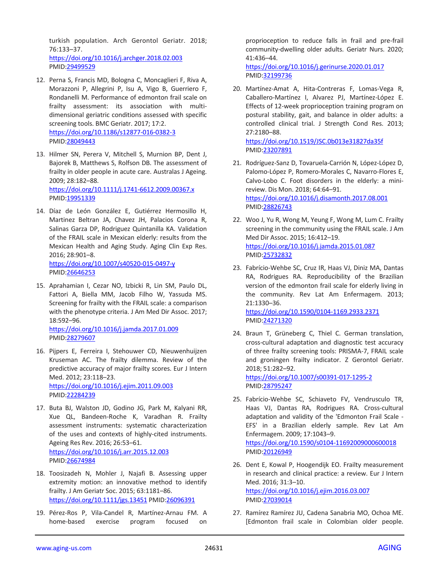turkish population. Arch Gerontol Geriatr. 2018; 76:133–37. <https://doi.org/10.1016/j.archger.2018.02.003> PMID[:29499529](https://pubmed.ncbi.nlm.nih.gov/29499529)

- 12. Perna S, Francis MD, Bologna C, Moncaglieri F, Riva A, Morazzoni P, Allegrini P, Isu A, Vigo B, Guerriero F, Rondanelli M. Performance of edmonton frail scale on frailty assessment: its association with multidimensional geriatric conditions assessed with specific screening tools. BMC Geriatr. 2017; 17:2. <https://doi.org/10.1186/s12877-016-0382-3> PMID[:28049443](https://pubmed.ncbi.nlm.nih.gov/28049443)
- 13. Hilmer SN, Perera V, Mitchell S, Murnion BP, Dent J, Bajorek B, Matthews S, Rolfson DB. The assessment of frailty in older people in acute care. Australas J Ageing. 2009; 28:182–88. <https://doi.org/10.1111/j.1741-6612.2009.00367.x> PMID[:19951339](https://pubmed.ncbi.nlm.nih.gov/19951339)
- 14. Díaz de León González E, Gutiérrez Hermosillo H, Martinez Beltran JA, Chavez JH, Palacios Corona R, Salinas Garza DP, Rodriguez Quintanilla KA. Validation of the FRAIL scale in Mexican elderly: results from the Mexican Health and Aging Study. Aging Clin Exp Res. 2016; 28:901–8. <https://doi.org/10.1007/s40520-015-0497-y>

PMID[:26646253](https://pubmed.ncbi.nlm.nih.gov/26646253)

15. Aprahamian I, Cezar NO, Izbicki R, Lin SM, Paulo DL, Fattori A, Biella MM, Jacob Filho W, Yassuda MS. Screening for frailty with the FRAIL scale: a comparison with the phenotype criteria. J Am Med Dir Assoc. 2017; 18:592–96.

<https://doi.org/10.1016/j.jamda.2017.01.009> PMID[:28279607](https://pubmed.ncbi.nlm.nih.gov/28279607)

- 16. Pijpers E, Ferreira I, Stehouwer CD, Nieuwenhuijzen Kruseman AC. The frailty dilemma. Review of the predictive accuracy of major frailty scores. Eur J Intern Med. 2012; 23:118–23. <https://doi.org/10.1016/j.ejim.2011.09.003> PMID[:22284239](https://pubmed.ncbi.nlm.nih.gov/22284239)
- 17. Buta BJ, Walston JD, Godino JG, Park M, Kalyani RR, Xue QL, Bandeen-Roche K, Varadhan R. Frailty assessment instruments: systematic characterization of the uses and contexts of highly-cited instruments. Ageing Res Rev. 2016; 26:53–61. <https://doi.org/10.1016/j.arr.2015.12.003> PMID[:26674984](https://pubmed.ncbi.nlm.nih.gov/26674984)
- 18. Toosizadeh N, Mohler J, Najafi B. Assessing upper extremity motion: an innovative method to identify frailty. J Am Geriatr Soc. 2015; 63:1181–86. <https://doi.org/10.1111/jgs.13451> PMI[D:26096391](https://pubmed.ncbi.nlm.nih.gov/26096391)
- 19. Pérez-Ros P, Vila-Candel R, Martínez-Arnau FM. A home-based exercise program focused on

proprioception to reduce falls in frail and pre-frail community-dwelling older adults. Geriatr Nurs. 2020; 41:436–44.

<https://doi.org/10.1016/j.gerinurse.2020.01.017> PMI[D:32199736](https://pubmed.ncbi.nlm.nih.gov/32199736)

20. Martínez-Amat A, Hita-Contreras F, Lomas-Vega R, Caballero-Martínez I, Alvarez PJ, Martínez-López E. Effects of 12-week proprioception training program on postural stability, gait, and balance in older adults: a controlled clinical trial. J Strength Cond Res. 2013; 27:2180–88. <https://doi.org/10.1519/JSC.0b013e31827da35f>

PMI[D:23207891](https://pubmed.ncbi.nlm.nih.gov/23207891)

- 21. Rodríguez-Sanz D, Tovaruela-Carrión N, López-López D, Palomo-López P, Romero-Morales C, Navarro-Flores E, Calvo-Lobo C. Foot disorders in the elderly: a minireview. Dis Mon. 2018; 64:64–91. <https://doi.org/10.1016/j.disamonth.2017.08.001> PMI[D:28826743](https://pubmed.ncbi.nlm.nih.gov/28826743)
- 22. Woo J, Yu R, Wong M, Yeung F, Wong M, Lum C. Frailty screening in the community using the FRAIL scale. J Am Med Dir Assoc. 2015; 16:412–19. <https://doi.org/10.1016/j.jamda.2015.01.087> PMI[D:25732832](https://pubmed.ncbi.nlm.nih.gov/25732832)
- 23. Fabrício-Wehbe SC, Cruz IR, Haas VJ, Diniz MA, Dantas RA, Rodrigues RA. Reproducibility of the Brazilian version of the edmonton frail scale for elderly living in the community. Rev Lat Am Enfermagem. 2013; 21:1330–36. <https://doi.org/10.1590/0104-1169.2933.2371>

PMI[D:24271320](https://pubmed.ncbi.nlm.nih.gov/24271320)

24. Braun T, Grüneberg C, Thiel C. German translation, cross-cultural adaptation and diagnostic test accuracy of three frailty screening tools: PRISMA-7, FRAIL scale and groningen frailty indicator. Z Gerontol Geriatr. 2018; 51:282–92. <https://doi.org/10.1007/s00391-017-1295-2>

PMI[D:28795247](https://pubmed.ncbi.nlm.nih.gov/28795247)

- 25. Fabrício-Wehbe SC, Schiaveto FV, Vendrusculo TR, Haas VJ, Dantas RA, Rodrigues RA. Cross-cultural adaptation and validity of the 'Edmonton Frail Scale - EFS' in a Brazilian elderly sample. Rev Lat Am Enfermagem. 2009; 17:1043–9. <https://doi.org/10.1590/s0104-11692009000600018> PMI[D:20126949](https://pubmed.ncbi.nlm.nih.gov/20126949)
- 26. Dent E, Kowal P, Hoogendijk EO. Frailty measurement in research and clinical practice: a review. Eur J Intern Med. 2016; 31:3–10. <https://doi.org/10.1016/j.ejim.2016.03.007> PMI[D:27039014](https://pubmed.ncbi.nlm.nih.gov/27039014)
- 27. Ramírez Ramírez JU, Cadena Sanabria MO, Ochoa ME. [Edmonton frail scale in Colombian older people.